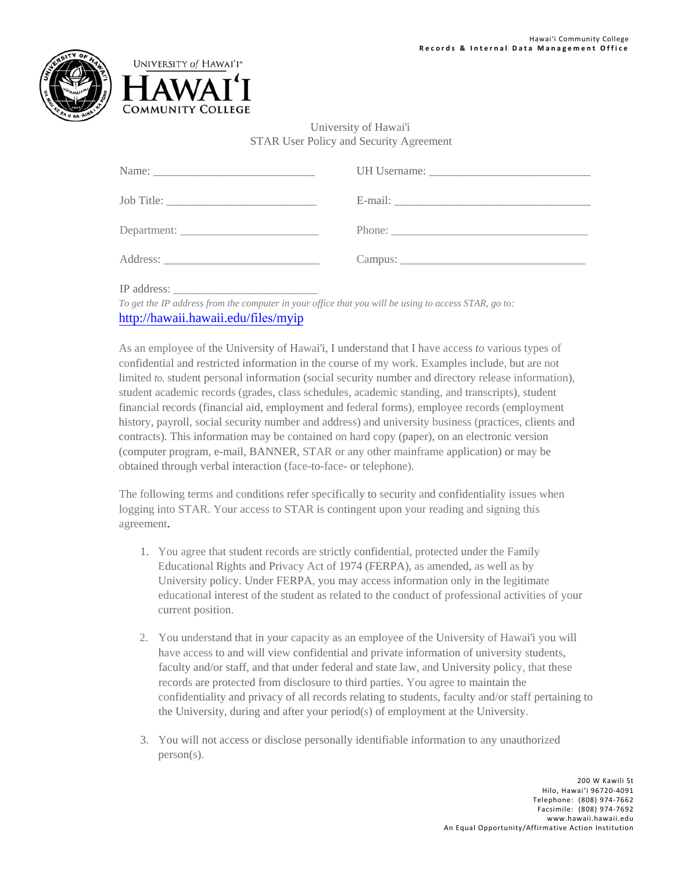



## University of Hawai'i STAR User Policy and Security Agreement

IP address: \_\_\_\_\_\_\_\_\_\_\_\_\_\_\_\_\_\_\_\_\_\_\_\_\_

*To get the IP address from the computer in your office that you will be using to access STAR, go to:* http://hawaii.hawaii.edu/files/myip

As an employee of the University of Hawai'i, I understand that I have access *to* various types of confidential and restricted information in the course of my work. Examples include, but are not limited *to,* student personal information (social security number and directory release information), student academic records (grades, class schedules, academic standing, and transcripts), student financial records (financial aid, employment and federal forms), employee records (employment history, payroll, social security number and address) and university business (practices, clients and contracts). This information may be contained on hard copy (paper), on an electronic version (computer program, e-mail, BANNER, STAR or any other mainframe application) or may be obtained through verbal interaction (face-to-face- or telephone).

The following terms and conditions refer specifically to security and confidentiality issues when logging into STAR. Your access to STAR is contingent upon your reading and signing this agreement.

- 1. You agree that student records are strictly confidential, protected under the Family Educational Rights and Privacy Act of 1974 (FERPA), as amended, as well as by University policy. Under FERPA, you may access information only in the legitimate educational interest of the student as related to the conduct of professional activities of your current position.
- 2. You understand that in your capacity as an employee of the University of Hawai'i you will have access to and will view confidential and private information of university students, faculty and/or staff, and that under federal and state law, and University policy, that these records are protected from disclosure to third parties. You agree to maintain the confidentiality and privacy of all records relating to students, faculty and/or staff pertaining to the University, during and after your period(s) of employment at the University.
- 3. You will not access or disclose personally identifiable information to any unauthorized person(s).